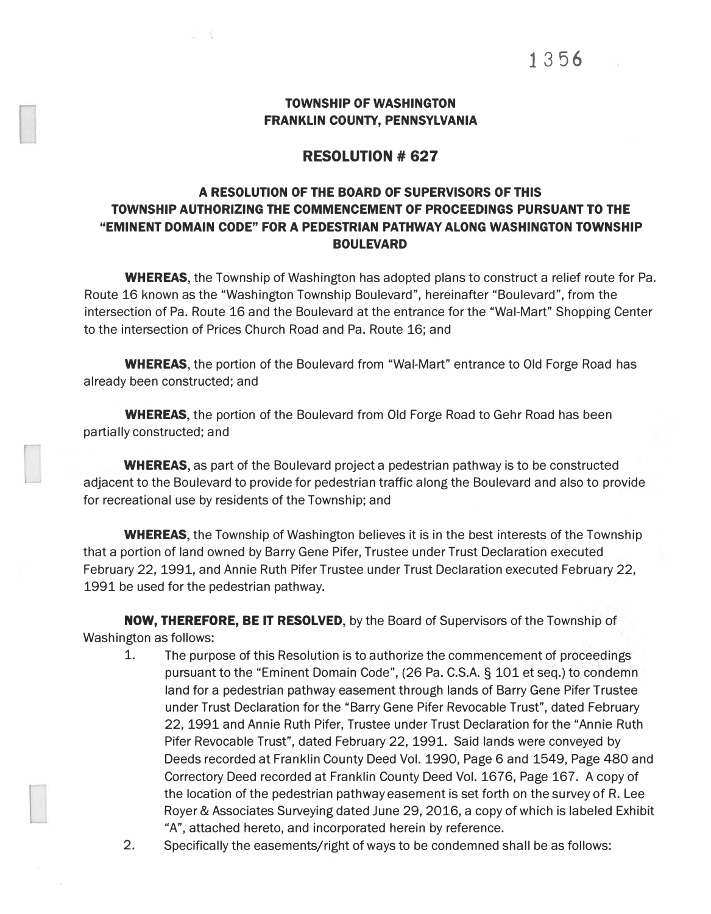#### TOWNSHIP OF WASHINGTON FRANKLIN COUNTY, PENNSYLVANIA

#### **RESOLUTION# 627**

### A RESOLUTION OF THE BOARD OF SUPERVISORS OF THIS TOWNSHIP AUTHORIZING THE COMMENCEMENT OF PROCEEDINGS PURSUANT TO THE "EMINENT DOMAIN CODE" FOR A PEDESTRIAN PATHWAY ALONG WASHINGTON TOWNSHIP BOULEVARD

WHEREAS, the Township of Washington has adopted plans to construct a relief route for Pa. Route 16 known as the "Washington Township Boulevard", hereinafter "Boulevard", from the intersection of Pa. Route 16 and the Boulevard at the entrance for the "Wal-Mart" Shopping Center to the intersection of Prices Church Road and Pa. Route 16; and

WHEREAS, the portion of the Boulevard from "Wal-Mart" entrance to Old Forge Road has already been constructed; and

**WHEREAS,** the portion of the Boulevard from Old Forge Road to Gehr Road has been partially constructed; and

WHEREAS, as part of the Boulevard project a pedestrian pathway is to be constructed adjacent to the Boulevard to provide for pedestrian traffic along the Boulevard and also to provide for recreational use by residents of the Township; and

WHEREAS, the Township of Washington believes it is in the best interests of the Township that a portion of land owned by Barry Gene Pifer, Trustee under Trust Declaration executed February 22, 1991, and Annie Ruth Pifer Trustee under Trust Declaration executed February 22, 1991 be used for the pedestrian pathway.

NOW, THEREFORE, BE IT RESOLVED, by the Board of Supervisors of the Township of Washington as follows:

- 1. The purpose of this Resolution is to authorize the commencement of proceedings pursuant to the "Eminent Domain Code", (26 Pa. C.S.A. § 101 et seq.) to condemn land for a pedestrian pathway easement through lands of Barry Gene Pifer Trustee under Trust Declaration for the "Barry Gene Pifer Revocable Trust", dated February 22, 1991 and Annie Ruth Pifer, Trustee under Trust Declaration for the "Annie Ruth Pifer Revocable Trust", dated February 22, 1991. Said lands were conveyed by Deeds recorded at Franklin County Deed Vol. 1990, Page 6 and 1549, Page 480 and Correctory Deed recorded at Franklin County Deed Vol. 1676, Page 167. A copy of the location of the pedestrian pathway easement is set forth on the survey of R. Lee Royer & Associates Surveying dated June 29, 2016, a copy of which is labeled Exhibit "A", attached hereto, and incorporated herein by reference.
- 2. Specifically the easements/right of ways to be condemned shall be as follows: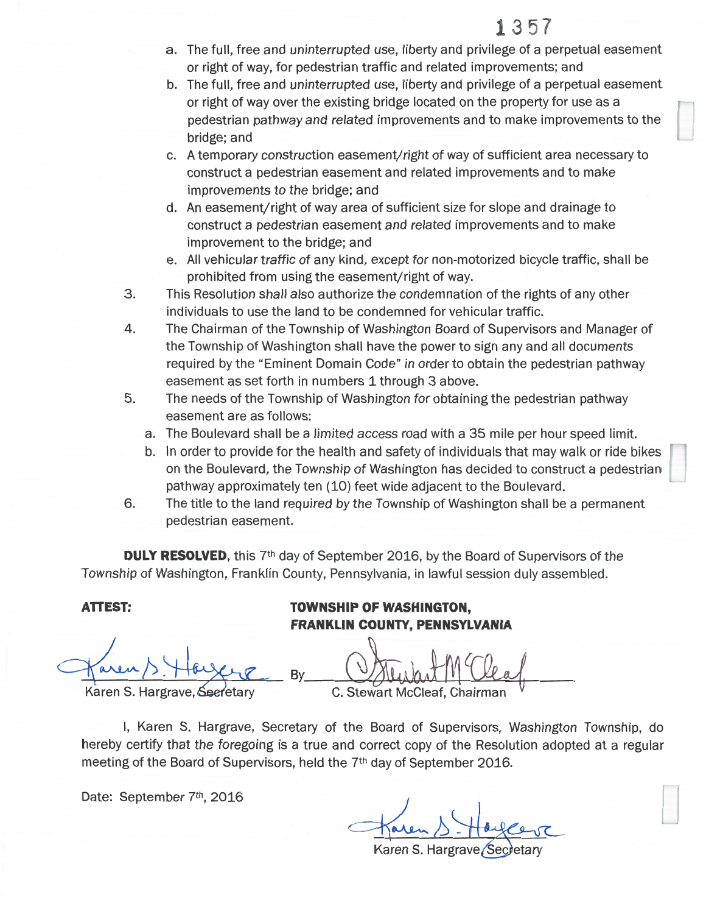# 1357

- a. The full, free and uninterrupted use, liberty and privilege of a perpetual easement or right of way, for pedestrian traffic and related improvements; and
- b. The full, free and uninterrupted use, liberty and privilege of a perpetual easement or right of way over the existing bridge located on the property for use as a pedestrian pathway and related improvements and to make improvements to the bridge; and
- c. A temporary construction easement/right of way of sufficient area necessary to construct a pedestrian easement and related improvements and to make improvements to the bridge; and
- d. An easement/right of way area of sufficient size for slope and drainage to construct a pedestrian easement and related improvements and to make improvement to the bridge; and
- e. All vehicular traffic of any kind, except for non-motorized bicycle traffic, shall be prohibited from using the easement/right of way.
- $3.$ This Resolution shall also authorize the condemnation of the rights of any other individuals to use the land to be condemned for vehicular traffic.
- 4. The Chairman of the Township of Washington Board of Supervisors and Manager of the Township of Washington shall have the power to sign any and all documents required by the "Eminent Domain Code" in order to obtain the pedestrian pathway easement as set forth in numbers 1 through 3 above.
- 5. The needs of the Township of Washington for obtaining the pedestrian pathway easement are as follows:
	- a. The Boulevard shall be a limited access road with a 35 mile per hour speed limit.
	- b. In order to provide for the health and safety of individuals that may walk or ride bikes on the Boulevard, the Township of Washington has decided to construct a pedestrian pathway approximately ten (10) feet wide adjacent to the Boulevard.
- The title to the land required by the Township of Washington shall be a permanent 6. pedestrian easement.

**DULY RESOLVED**, this 7<sup>th</sup> day of September 2016, by the Board of Supervisors of the Township of Washington, Franklin County, Pennsylvania, in lawful session duly assembled.

Bv

## **ATTEST:**

Karen S. Hargrave, Seeretary

**TOWNSHIP OF WASHINGTON, FRANKLIN COUNTY, PENNSYLVANIA** 

C. Stewart McCleaf, Chairr

I, Karen S. Hargrave, Secretary of the Board of Supervisors, Washington Township, do hereby certify that the foregoing is a true and correct copy of the Resolution adopted at a regular meeting of the Board of Supervisors, held the 7<sup>th</sup> day of September 2016.

Date: September 7th, 2016

Karen S. Hargrave.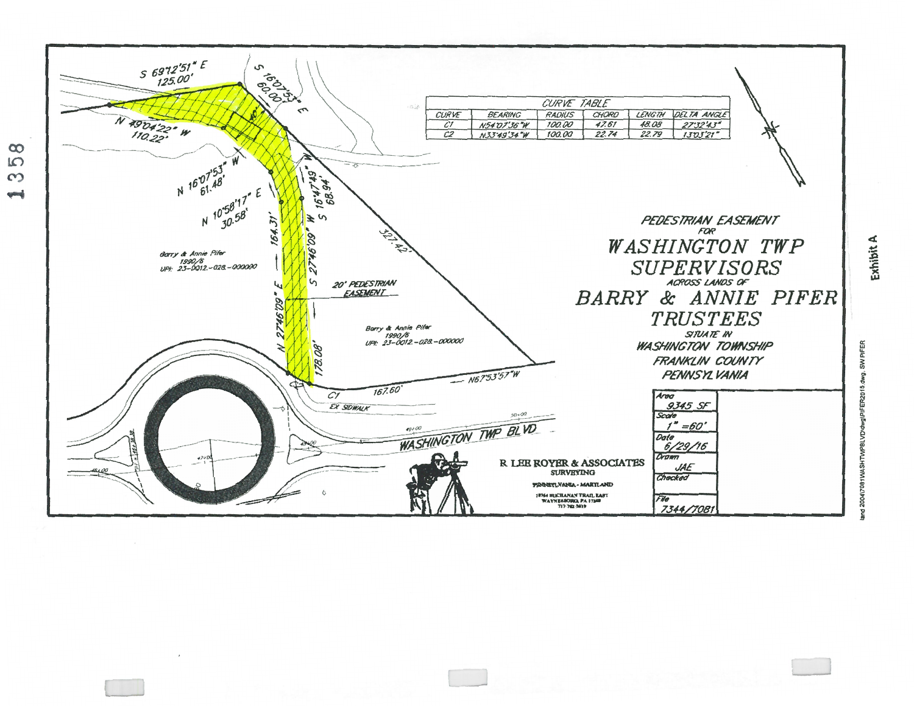

 $\infty$  $L$  $\infty$ **Send** 

Exhibit A

PIFE  $\tilde{\mathbf{z}}$